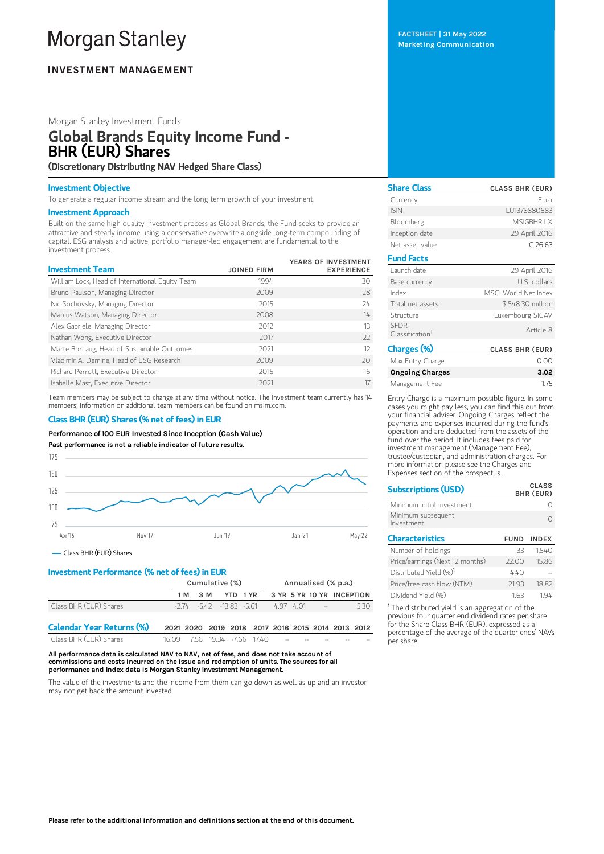# **Morgan Stanley**

# **INVESTMENT MANAGEMENT**

# Morgan Stanley Investment Funds

# Global Brands Equity Income Fund - BHR (EUR) Shares

(Discretionary Distributing NAV Hedged Share Class)

## Investment Objective

To generate a regular income stream and the long term growth of your investment.

#### Investment Approach

Built on the same high quality investment process as Global Brands, the Fund seeks to provide an attractive and steady income using a conservative overwrite alongside long-term compounding of capital. ESG analysis and active, portfolio manager-led engagement are fundamental to the investment process.

| <b>Investment Team</b>                          | <b>JOINED FIRM</b> | YEARS OF INVESTMENT<br><b>EXPERIENCE</b> |
|-------------------------------------------------|--------------------|------------------------------------------|
| William Lock, Head of International Equity Team | 1994               | 30                                       |
| Bruno Paulson, Managing Director                | 2009               | 28                                       |
| Nic Sochovsky, Managing Director                | 2015               | 24                                       |
| Marcus Watson, Managing Director                | 2008               | $14 -$                                   |
| Alex Gabriele, Managing Director                | 2012               | 13                                       |
| Nathan Wong, Executive Director                 | 2017               | $22$                                     |
| Marte Borhaug, Head of Sustainable Outcomes     | 2021               | 12                                       |
| Vladimir A. Demine, Head of ESG Research        | 2009               | 20 <sup>2</sup>                          |
| Richard Perrott, Executive Director             | 2015               | 16                                       |
| Isabelle Mast. Executive Director               | 2021               | 17                                       |

Team members may be subject to change at any time without notice. The investment team currently has 14 members; information on additional team members can be found on msim.com.

# Class BHR (EUR) Shares (% net of fees) in EUR

Performance of 100 EUR Invested Since Inception (Cash Value)

Past performance is not a reliable indicator of future results.



# Class BHR (EUR) Shares

# Investment Performance (% net of fees) in EUR

|                                  | Cumulative (%) |       |                                  |  |                                                   |  | Annualised (% p.a.) |                           |      |
|----------------------------------|----------------|-------|----------------------------------|--|---------------------------------------------------|--|---------------------|---------------------------|------|
|                                  | 1 M            | - 3 M |                                  |  | YTD 1 YR                                          |  |                     | 3 YR 5 YR 10 YR INCEPTION |      |
| Class BHR (EUR) Shares           |                |       | $-2.74$ $-5.42$ $-13.83$ $-5.61$ |  |                                                   |  | 497401 --           |                           | 5.30 |
| <b>Calendar Year Returns (%)</b> |                |       |                                  |  | 2021 2020 2019 2018 2017 2016 2015 2014 2013 2012 |  |                     |                           |      |
| Class BHR (EUR) Shares           | 16.09          |       |                                  |  | 7.56 19.34 -7.66 17.40                            |  |                     |                           |      |

All performance data is calculated NAV to NAV, net of fees, and does not take account of commissions and costs incurred on the issue and redemption of units. The sources for all performance and Index data is Morgan Stanley Investment Management.

The value of the investments and the income from them can go down as well as up and an investor may not get back the amount invested.

FACTSHEET | 31 May 2022 Marketing Communication

| <b>Share Class</b>                         | <b>CLASS BHR (EUR)</b> |
|--------------------------------------------|------------------------|
| Currency                                   | Furo                   |
| <b>ISIN</b>                                | LU1378880683           |
| Bloomberg                                  | MSIGBHR I X            |
| Inception date                             | 29 April 2016          |
| Net asset value                            | € 26.63                |
| <b>Fund Facts</b>                          |                        |
| Launch date                                | 29 April 2016          |
| Base currency                              | U.S. dollars           |
| Index                                      | MSCI World Net Index   |
| Total net assets                           | \$548.30 million       |
| Structure                                  | Luxembourg SICAV       |
| <b>SEDR</b><br>Classification <sup>+</sup> | Article 8              |
| Charges (%)                                | <b>CLASS BHR (EUR)</b> |
| Max Entry Charge                           | 0.00                   |
| <b>Ongoing Charges</b>                     | 3.02                   |

Management Fee 1.75

Entry Charge is a maximum possible figure. In some cases you might pay less, you can find this out from your financial adviser. Ongoing Charges reflect the payments and expenses incurred during the fund's operation and are deducted from the assets of the fund over the period. It includes fees paid for investment management (Management Fee), trustee/custodian, and administration charges. For more information please see the Charges and Expenses section of the prospectus.

| <b>Subscriptions (USD)</b>         |             | <b>CLASS</b><br>BHR (EUR) |
|------------------------------------|-------------|---------------------------|
| Minimum initial investment         |             |                           |
| Minimum subsequent<br>Investment   |             |                           |
| <b>Characteristics</b>             | <b>FUND</b> | <b>INDEX</b>              |
| Number of holdings                 | 33          | 1.540                     |
| Price/earnings (Next 12 months)    | 22.00       | 15.86                     |
| Distributed Yield (%) <sup>1</sup> | 440         |                           |
| Price/free cash flow (NTM)         | 21.93       | 18.82                     |
| Dividend Yield (%)                 | 1.63        | 194                       |

<sup>1</sup> The distributed yield is an aggregation of the previous four quarter end dividend rates per share for the Share Class BHR (EUR), expressed as a percentage of the average of the quarter ends' NAVs per share.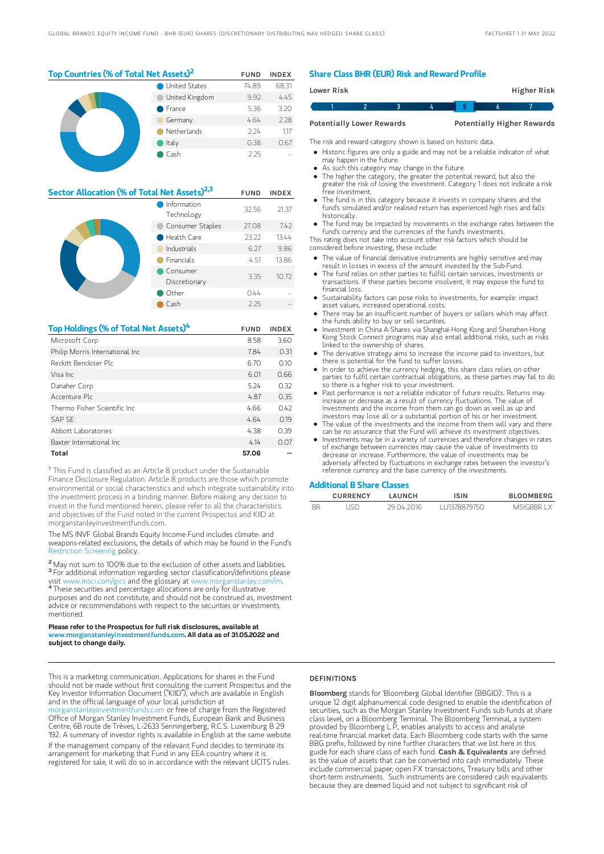| Top Countries (% of Total Net Assets) <sup>2</sup> |                |       | <b>INDEX</b> |
|----------------------------------------------------|----------------|-------|--------------|
|                                                    | United States  | 74.89 | 68.31        |
|                                                    | United Kingdom | 9.92  | 4.45         |
|                                                    | France         |       | 3.20         |
| Germany                                            |                | 4.64  | 2.28         |
|                                                    | Netherlands    | 224   | 1.17         |
|                                                    | Italy          | 0.38  | 0.67         |
|                                                    | Cash           | 2.25  |              |

| Sector Allocation (% of Total Net Assets) <sup>2,3</sup> |                           |       | <b>INDEX</b> |
|----------------------------------------------------------|---------------------------|-------|--------------|
|                                                          | Information<br>Technology | 32.56 | 21.37        |
|                                                          | Consumer Staples          | 27.08 | 7.42         |
|                                                          | Health Care               | 23.22 | 13.44        |
|                                                          | Industrials               | 6.27  | 9.86         |
| <b>Financials</b>                                        |                           | 4.51  | 13.86        |
|                                                          | Consumer<br>Discretionary | 3.35  | 10.72        |
|                                                          | Other                     | 0.44  |              |
|                                                          | Cash                      | 2.25  |              |

| Top Holdings (% of Total Net Assets) <sup>4</sup> | <b>FUND</b> | <b>INDEX</b> |
|---------------------------------------------------|-------------|--------------|
| Microsoft Corp                                    | 8.58        | 3.60         |
| Philip Morris International Inc                   | 7.84        | 0.31         |
| Reckitt Benckiser Plc                             | 6.70        | 0.10         |
| Visa Inc.                                         | 6.01        | 0.66         |
| Danaher Corp                                      | 5.24        | 0.32         |
| Accenture Plc                                     | 4.87        | 0.35         |
| Thermo Fisher Scientific Inc.                     | 4.66        | 0.42         |
| <b>SAP SE</b>                                     | 4.64        | 0.19         |
| Abbott Laboratories                               | 4.38        | 0.39         |
| Baxter International Inc.                         | 4.14        | 0.07         |
| Total                                             | 57.06       |              |

<sup>†</sup> This Fund is classified as an Article 8 product under the Sustainable Finance Disclosure Regulation. Article 8 products are those which promote environmental or social characteristics and which integrate sustainability into the investment process in a binding manner. Before making any decision to invest in the fund mentioned herein, please refer to all the characteristics and objectives of the Fund noted in the current Prospectus and KIID at morganstanleyinvestmentfunds.com.

The MS INVF Global Brands Equity Income Fund includes climate- and weapons-related exclusions, the details of which may be found in the Fund's [Restriction](https://www.morganstanley.com/im/publication/msinvf/material/rsp_msinvf_gb_gbei_gq_en.pdf?1654720968714) Screening policy.

<sup>2</sup> May not sum to 100% due to the exclusion of other assets and liabilities. <sup>3</sup> For additional information regarding sector classification/definitions please visit www.msci.com/gics and the glossary at www.morganstanley.com/im. 4

These securities and percentage allocations are only for illustrative purposes and do not constitute, and should not be construed as, investment advice or recommendations with respect to the securities or investments mentioned.

#### Please refer to the Prospectus for full risk disclosures, available at www.morganstanleyinvestmentfunds.com. All data as of 31.05.2022 and subject to change daily.

This is a marketing communication. Applications for shares in the Fund should not be made without first consulting the current Prospectus and the Key Investor Information Document ("KIID"), which are available in English and in the official language of your local jurisdiction at

[morganstanleyinvestmentfunds.com](https://www.morganstanley.com/im/msinvf/index.html) or free of charge from the Registered Office of Morgan Stanley Investment Funds, European Bank and Business Centre, 6B route de Trèves, L-2633 Senningerberg, R.C.S. Luxemburg B 29 192. A summary of investor rights is available in English at the same website. If the management company of the relevant Fund decides to terminate its arrangement for marketing that Fund in any EEA country where it is registered for sale, it will do so in accordance with the relevant UCITS rules.

## Share Class BHR (EUR) Risk and Reward Profile

| Lower Risk                       |  |  |  |  | Higher Risk                       |  |
|----------------------------------|--|--|--|--|-----------------------------------|--|
|                                  |  |  |  |  |                                   |  |
| <b>Potentially Lower Rewards</b> |  |  |  |  | <b>Potentially Higher Rewards</b> |  |

The risk and reward category shown is based on historic data.

Historic figures are only a guide and may not be a reliable indicator of what

- may happen in the future. As such this category may change in the future.
- The higher the category, the greater the potential reward, but also the
- greater the risk of losing the investment. Category 1 does not indicate a risk free investment.
- The fund is in this category because it invests in company shares and the fund's simulated and/or realised return has experienced high rises and falls historically.
- The fund may be impacted by movements in the exchange rates between the fund's currency and the currencies of the fund's investments.
- This rating does not take into account other risk factors which should be considered before investing, these include:

The value of financial derivative instruments are highly sensitive and may

- result in losses in excess of the amount invested by the Sub-Fund. The fund relies on other parties to fulfill certain services, investments or
- transactions. If these parties become insolvent, it may expose the fund to financial loss.
- Sustainability factors can pose risks to investments, for example: impact asset values, increased operational costs.
- There may be an insufficient number of buyers or sellers which may affect the funds ability to buy or sell securities.
- Investment in China A-Shares via Shanghai-Hong Kong and Shenzhen-Hong Kong Stock Connect programs may also entail additional risks, such as risks linked to the ownership of shares.
- The derivative strategy aims to increase the income paid to investors, but there is potential for the fund to suffer losses.
- In order to achieve the currency hedging, this share class relies on other parties to fulfil certain contractual obligations, as these parties may fail to do so there is a higher risk to your investment.
- Past performance is not a reliable indicator of future results. Returns may increase or decrease as a result of currency fluctuations. The value of investments and the income from them can go down as well as up and investors may lose all or a substantial portion of his or her investment.
- The value of the investments and the income from them will vary and there
- can be no assurance that the Fund will achieve its investment objectives. Investments may be in a variety of currencies and therefore changes in rates of exchange between currencies may cause the value of investments to decrease or increase. Furthermore, the value of investments may be adversely affected by fluctuations in exchange rates between the investor's reference currency and the base currency of the investments.

#### Additional B Share Classes

|           | <b>CURRENCY</b> | LAUNCH     | <b>ISIN</b>  | <b>BLOOMBERG</b> |
|-----------|-----------------|------------|--------------|------------------|
| <b>BR</b> | ISF             | 29 N4 2016 | LU1378879750 | MSIGRRR I X      |

#### **DEFINITIONS**

Bloomberg stands for 'Bloomberg Global Identifier (BBGID)'. This is a unique 12 digit alphanumerical code designed to enable the identification of securities, such as the Morgan Stanley Investment Funds sub-funds at share class level, on a Bloomberg Terminal. The Bloomberg Terminal, a system provided by Bloomberg L.P., enables analysts to access and analyse real-time financial market data. Each Bloomberg code starts with the same BBG prefix, followed by nine further characters that we list here in this guide for each share class of each fund. Cash & Equivalents are defined as the value of assets that can be converted into cash immediately. These include commercial paper, open FX transactions, Treasury bills and other short-term instruments. Such instruments are considered cash equivalents because they are deemed liquid and not subject to significant risk of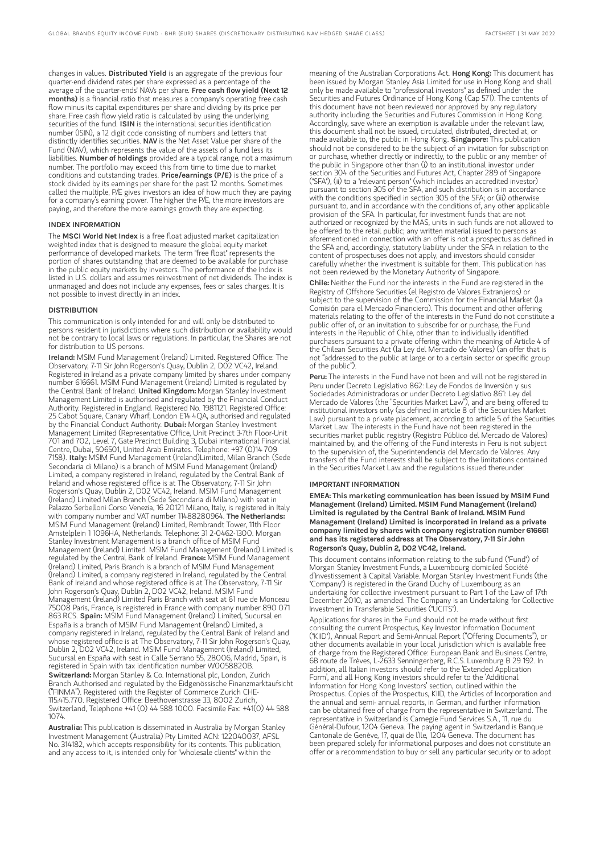changes in values. Distributed Yield is an aggregate of the previous four quarter-end dividend rates per share expressed as a percentage of the average of the quarter-ends' NAVs per share. Free cash flow yield (Next 12 months) is a financial ratio that measures a company's operating free cash flow minus its capital expenditures per share and dividing by its price per share. Free cash flow yield ratio is calculated by using the underlying securities of the fund. ISIN is the international securities identification number (ISIN), a 12 digit code consisting of numbers and letters that distinctly identifies securities. NAV is the Net Asset Value per share of the Fund (NAV), which represents the value of the assets of a fund less its liabilities. Number of holdings provided are a typical range, not a maximum number. The portfolio may exceed this from time to time due to market conditions and outstanding trades. Price/earnings (P/E) is the price of a stock divided by its earnings per share for the past 12 months. Sometimes called the multiple, P/E gives investors an idea of how much they are paying for a company's earning power. The higher the P/E, the more investors are paying, and therefore the more earnings growth they are expecting.

#### INDEX INFORMATION

The MSCI World Net Index is a free float adjusted market capitalization weighted index that is designed to measure the global equity market performance of developed markets. The term "free float" represents the portion of shares outstanding that are deemed to be available for purchase in the public equity markets by investors. The performance of the Index is listed in U.S. dollars and assumes reinvestment of net dividends. The index is unmanaged and does not include any expenses, fees or sales charges. It is not possible to invest directly in an index.

#### DISTRIBUTION

This communication is only intended for and will only be distributed to persons resident in jurisdictions where such distribution or availability would not be contrary to local laws or regulations. In particular, the Shares are not for distribution to US persons.

Ireland: MSIM Fund Management (Ireland) Limited. Registered Office: The Observatory, 7-11 Sir John Rogerson's Quay, Dublin 2, D02 VC42, Ireland. Registered in Ireland as a private company limited by shares under company number 616661. MSIM Fund Management (Ireland) Limited is regulated by<br>the Central Bank of Ireland. **United Kingdom:** Morgan Stanley Investment Management Limited is authorised and regulated by the Financial Conduct Authority. Registered in England. Registered No. 1981121. Registered Office: 25 Cabot Square, Canary Wharf, London E14 4QA, authorised and regulated<br>by the Financial Conduct Authority. **Dubai:** Morgan Stanley Investment Management Limited (Representative Office, Unit Precinct 3-7th Floor-Unit 701 and 702, Level 7, Gate Precinct Building 3, Dubai International Financial Centre, Dubai, 506501, United Arab Emirates. Telephone: +97 (0)14 709 7158). Italy: MSIM Fund Management (Ireland)Limited, Milan Branch (Sede Secondaria di Milano) is a branch of MSIM Fund Management (Ireland) Limited, a company registered in Ireland, regulated by the Central Bank of Ireland and whose registered office is at The Observatory, 7-11 Sir John Rogerson's Quay, Dublin 2, D02 VC42, Ireland. MSIM Fund Management (Ireland) Limited Milan Branch (Sede Secondaria di Milano) with seat in Palazzo Serbelloni Corso Venezia, 16 20121 Milano, Italy, is registered in Italy<br>with company number and VAT number 11488280964. **The Netherlands:** MSIM Fund Management (Ireland) Limited, Rembrandt Tower, 11th Floor Amstelplein 1 1096HA, Netherlands. Telephone: 31 2-0462-1300. Morgan Stanley Investment Management is a branch office of MSIM Fund Management (Ireland) Limited. MSIM Fund Management (Ireland) Limited is regulated by the Central Bank of Ireland. France: MSIM Fund Management (Ireland) Limited, Paris Branch is a branch of MSIM Fund Management (Ireland) Limited, a company registered in Ireland, regulated by the Central Bank of Ireland and whose registered office is at The Observatory, 7-11 Sir John Rogerson's Quay, Dublin 2, D02 VC42, Ireland. MSIM Fund Management (Ireland) Limited Paris Branch with seat at 61 rue de Monceau 75008 Paris, France, is registered in France with company number 890 071 863 RCS. Spain: MSIM Fund Management (Ireland) Limited, Sucursal en España is a branch of MSIM Fund Management (Ireland) Limited, a company registered in Ireland, regulated by the Central Bank of Ireland and whose registered office is at The Observatory, 7-11 Sir John Rogerson's Quay, Dublin 2, D02 VC42, Ireland. MSIM Fund Management (Ireland) Limited, Sucursal en España with seat in Calle Serrano 55, 28006, Madrid, Spain, is registered in Spain with tax identification number W0058820B. Switzerland: Morgan Stanley & Co. International plc, London, Zurich Branch Authorised and regulated by the Eidgenössische Finanzmarktaufsicht ("FINMA"). Registered with the Register of Commerce Zurich CHE-115.415.770. Registered Office: Beethovenstrasse 33, 8002 Zurich, Switzerland, Telephone +41 (0) 44 588 1000. Facsimile Fax: +41(0) 44 588 1074.

Australia: This publication is disseminated in Australia by Morgan Stanley Investment Management (Australia) Pty Limited ACN: 122040037, AFSL No. 314182, which accepts responsibility for its contents. This publication, and any access to it, is intended only for "wholesale clients" within the

meaning of the Australian Corporations Act. Hong Kong: This document has been issued by Morgan Stanley Asia Limited for use in Hong Kong and shall only be made available to "professional investors" as defined under the Securities and Futures Ordinance of Hong Kong (Cap 571). The contents of this document have not been reviewed nor approved by any regulatory authority including the Securities and Futures Commission in Hong Kong. Accordingly, save where an exemption is available under the relevant law, this document shall not be issued, circulated, distributed, directed at, or made available to, the public in Hong Kong. Singapore: This publication should not be considered to be the subject of an invitation for subscription or purchase, whether directly or indirectly, to the public or any member of the public in Singapore other than (i) to an institutional investor under section 304 of the Securities and Futures Act, Chapter 289 of Singapore ("SFA"), (ii) to a "relevant person" (which includes an accredited investor) pursuant to section 305 of the SFA, and such distribution is in accordance with the conditions specified in section 305 of the SFA; or (iii) otherwise pursuant to, and in accordance with the conditions of, any other applicable provision of the SFA. In particular, for investment funds that are not authorized or recognized by the MAS, units in such funds are not allowed to be offered to the retail public; any written material issued to persons as aforementioned in connection with an offer is not a prospectus as defined in the SFA and, accordingly, statutory liability under the SFA in relation to the content of prospectuses does not apply, and investors should consider carefully whether the investment is suitable for them. This publication has not been reviewed by the Monetary Authority of Singapore.

Chile: Neither the Fund nor the interests in the Fund are registered in the Registry of Offshore Securities (el Registro de Valores Extranjeros) or subject to the supervision of the Commission for the Financial Market (la Comisión para el Mercado Financiero). This document and other offering materials relating to the offer of the interests in the Fund do not constitute a public offer of, or an invitation to subscribe for or purchase, the Fund interests in the Republic of Chile, other than to individually identified purchasers pursuant to a private offering within the meaning of Article 4 of the Chilean Securities Act (la Ley del Mercado de Valores) (an offer that is not "addressed to the public at large or to a certain sector or specific group of the public").

Peru: The interests in the Fund have not been and will not be registered in Peru under Decreto Legislativo 862: Ley de Fondos de Inversión y sus Sociedades Administradoras or under Decreto Legislativo 861: Ley del Mercado de Valores (the "Securities Market Law"), and are being offered to institutional investors only (as defined in article 8 of the Securities Market Law) pursuant to a private placement, according to article 5 of the Securities Market Law. The interests in the Fund have not been registered in the securities market public registry (Registro Público del Mercado de Valores) maintained by, and the offering of the Fund interests in Peru is not subject to the supervision of, the Superintendencia del Mercado de Valores. Any transfers of the Fund interests shall be subject to the limitations contained in the Securities Market Law and the regulations issued thereunder.

#### IMPORTANT INFORMATION

EMEA: This marketing communication has been issued by MSIM Fund Management (Ireland) Limited. MSIM Fund Management (Ireland) Limited is regulated by the Central Bank of Ireland. MSIM Fund Management (Ireland) Limited is incorporated in Ireland as a private company limited by shares with company registration number 616661 and has its registered address at The Observatory, 7-11 Sir John Rogerson's Quay, Dublin 2, D02 VC42, Ireland.

This document contains information relating to the sub-fund ("Fund") of Morgan Stanley Investment Funds, a Luxembourg domiciled Société d'Investissement à Capital Variable. Morgan Stanley Investment Funds (the "Company") is registered in the Grand Duchy of Luxembourg as an undertaking for collective investment pursuant to Part 1 of the Law of 17th December 2010, as amended. The Company is an Undertaking for Collective Investment in Transferable Securities ("UCITS").

Applications for shares in the Fund should not be made without first consulting the current Prospectus, Key Investor Information Document ("KIID"), Annual Report and Semi-Annual Report ("Offering Documents"), or other documents available in your local jurisdiction which is available free of charge from the Registered Office: European Bank and Business Centre, 6B route de Trèves, L-2633 Senningerberg, R.C.S. Luxemburg B 29 192. In addition, all Italian investors should refer to the 'Extended Application Form', and all Hong Kong investors should refer to the 'Additional Information for Hong Kong Investors' section, outlined within the Prospectus. Copies of the Prospectus, KIID, the Articles of Incorporation and the annual and semi- annual reports, in German, and further information can be obtained free of charge from the representative in Switzerland. The representative in Switzerland is Carnegie Fund Services S.A., 11, rue du Général-Dufour, 1204 Geneva. The paying agent in Switzerland is Banque Cantonale de Genève, 17, quai de l'Ile, 1204 Geneva. The document has been prepared solely for informational purposes and does not constitute an offer or a recommendation to buy or sell any particular security or to adopt